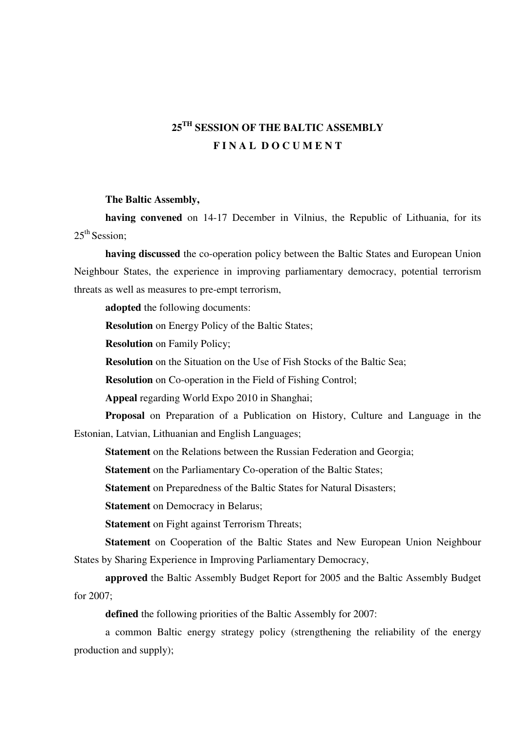## **25TH SESSION OF THE BALTIC ASSEMBLY F I N A L D O C U M E N T**

## **The Baltic Assembly,**

**having convened** on 14-17 December in Vilnius, the Republic of Lithuania, for its  $25<sup>th</sup> Session:$ 

**having discussed** the co-operation policy between the Baltic States and European Union Neighbour States, the experience in improving parliamentary democracy, potential terrorism threats as well as measures to pre-empt terrorism,

**adopted** the following documents:

**Resolution** on Energy Policy of the Baltic States;

**Resolution** on Family Policy;

**Resolution** on the Situation on the Use of Fish Stocks of the Baltic Sea;

**Resolution** on Co-operation in the Field of Fishing Control;

**Appeal** regarding World Expo 2010 in Shanghai;

**Proposal** on Preparation of a Publication on History, Culture and Language in the Estonian, Latvian, Lithuanian and English Languages;

**Statement** on the Relations between the Russian Federation and Georgia;

**Statement** on the Parliamentary Co-operation of the Baltic States;

**Statement** on Preparedness of the Baltic States for Natural Disasters;

**Statement** on Democracy in Belarus;

**Statement** on Fight against Terrorism Threats;

**Statement** on Cooperation of the Baltic States and New European Union Neighbour States by Sharing Experience in Improving Parliamentary Democracy,

**approved** the Baltic Assembly Budget Report for 2005 and the Baltic Assembly Budget for 2007;

**defined** the following priorities of the Baltic Assembly for 2007:

a common Baltic energy strategy policy (strengthening the reliability of the energy production and supply);